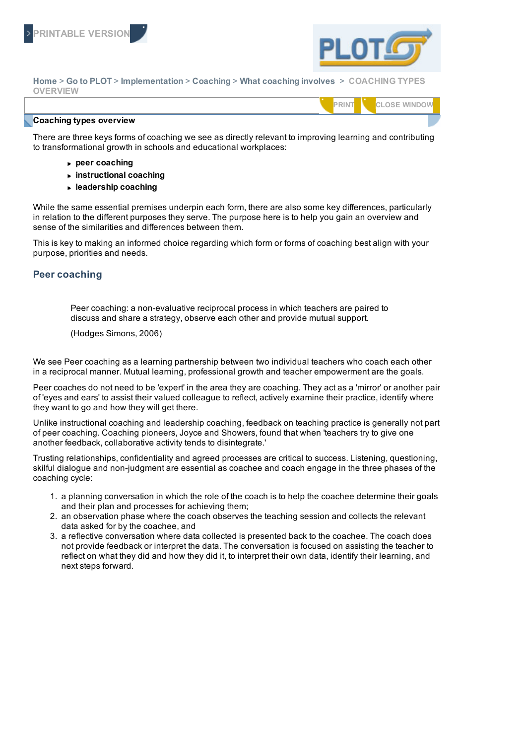



**Home** > **Go to PLOT** > **Implementation** > **Coaching** > **What coaching involves** > **COACHING TYPES OVERVIEW**

|                                |  | 1011<br>$\sim$ $-$ |
|--------------------------------|--|--------------------|
| <b>Coaching types overview</b> |  |                    |

There are three keys forms of coaching we see as directly relevant to improving learning and contributing to transformational growth in schools and educational workplaces:

- **peer coaching**
- **instructional coaching**
- **leadership coaching**

While the same essential premises underpin each form, there are also some key differences, particularly in relation to the different purposes they serve. The purpose here is to help you gain an overview and sense of the similarities and differences between them.

This is key to making an informed choice regarding which form or forms of coaching best align with your purpose, priorities and needs.

### **Peer coaching**

Peer coaching: a non-evaluative reciprocal process in which teachers are paired to discuss and share a strategy, observe each other and provide mutual support.

(Hodges Simons, 2006)

We see Peer coaching as a learning partnership between two individual teachers who coach each other in a reciprocal manner. Mutual learning, professional growth and teacher empowerment are the goals.

Peer coaches do not need to be 'expert' in the area they are coaching. They act as a 'mirror' or another pair of 'eyes and ears' to assist their valued colleague to reflect, actively examine their practice, identify where they want to go and how they will get there.

Unlike instructional coaching and leadership coaching, feedback on teaching practice is generally not part of peer coaching. Coaching pioneers, Joyce and Showers, found that when 'teachers try to give one another feedback, collaborative activity tends to disintegrate.'

Trusting relationships, confidentiality and agreed processes are critical to success. Listening, questioning, skilful dialogue and non-judgment are essential as coachee and coach engage in the three phases of the coaching cycle:

- 1. a planning conversation in which the role of the coach is to help the coachee determine their goals and their plan and processes for achieving them;
- 2. an observation phase where the coach observes the teaching session and collects the relevant data asked for by the coachee, and
- 3. a reflective conversation where data collected is presented back to the coachee. The coach does not provide feedback or interpret the data. The conversation is focused on assisting the teacher to reflect on what they did and how they did it, to interpret their own data, identify their learning, and next steps forward.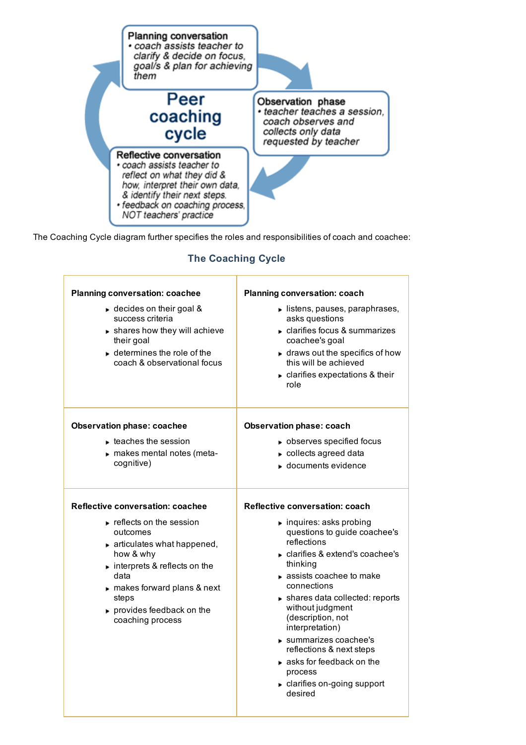

The Coaching Cycle diagram further specifies the roles and responsibilities of coach and coachee:

#### **Planning conversation: coachee** ► decides on their goal & success criteria shares how they will achieve their goal determines the role of the coach & observational focus **Planning conversation: coach**  $\blacktriangleright$  listens, pauses, paraphrases, asks questions clarifies focus & summarizes coachee's goal  $\blacktriangleright$  draws out the specifics of how this will be achieved clarifies expectations & their role **Observation phase: coachee**  $\blacktriangleright$  teaches the session makes mental notes (metacognitive) **Observation phase: coach b** observes specified focus collects agreed data **■** documents evidence **Reflective conversation: coachee F** reflects on the session outcomes  $\blacktriangleright$  articulates what happened, how & why **interprets & reflects on the** data makes forward plans & next steps **provides feedback on the** coaching process **Reflective conversation: coach**  $\blacktriangleright$  inquires: asks probing questions to guide coachee's reflections clarifies & extend's coachee's thinking assists coachee to make connections shares data collected: reports without judgment (description, not interpretation) summarizes coachee's reflections & next steps asks for feedback on the process clarifies on-going support desired

# **The Coaching Cycle**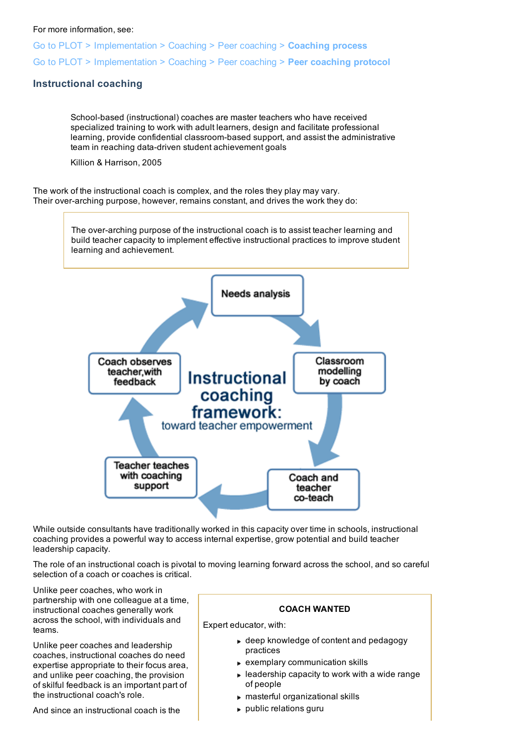#### For more information, see:

Go to PLOT > Implementation > Coaching > Peer coaching > **Coaching process** Go to PLOT > Implementation > Coaching > Peer coaching > **Peer coaching protocol**

### **Instructional coaching**

School-based (instructional) coaches are master teachers who have received specialized training to work with adult learners, design and facilitate professional learning, provide confidential classroom-based support, and assist the administrative team in reaching data-driven student achievement goals

Killion & Harrison, 2005

The work of the instructional coach is complex, and the roles they play may vary. Their over-arching purpose, however, remains constant, and drives the work they do:



While outside consultants have traditionally worked in this capacity over time in schools, instructional coaching provides a powerful way to access internal expertise, grow potential and build teacher leadership capacity.

The role of an instructional coach is pivotal to moving learning forward across the school, and so careful selection of a coach or coaches is critical.

Unlike peer coaches, who work in partnership with one colleague at a time, instructional coaches generally work across the school, with individuals and teams.

Unlike peer coaches and leadership coaches, instructional coaches do need expertise appropriate to their focus area, and unlike peer coaching, the provision of skilful feedback is an important part of the instructional coach's role.

And since an instructional coach is the

#### **COACH WANTED**

Expert educator, with:

- ► deep knowledge of content and pedagogy practices
- exemplary communication skills
- $\blacktriangleright$  leadership capacity to work with a wide range of people
- masterful organizational skills
- public relations guru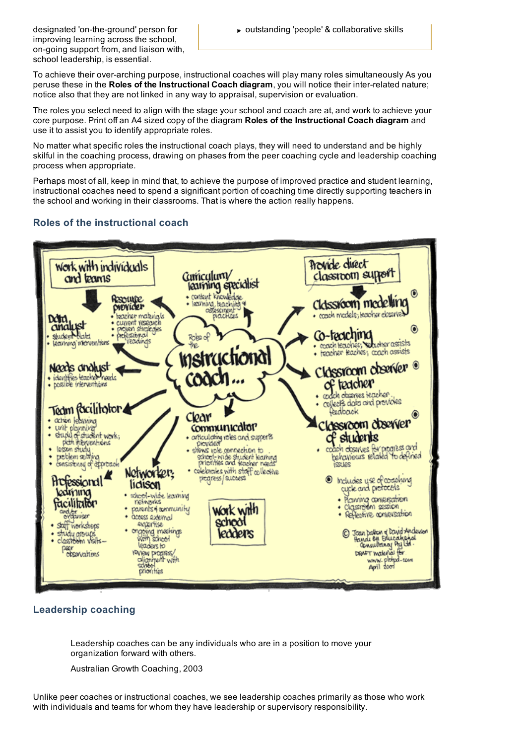improving learning across the school, on-going support from, and liaison with, school leadership, is essential.

To achieve their over-arching purpose, instructional coaches will play many roles simultaneously As you peruse these in the **Roles of the Instructional Coach diagram**, you will notice their inter-related nature; notice also that they are not linked in any way to appraisal, supervision or evaluation.

The roles you select need to align with the stage your school and coach are at, and work to achieve your core purpose. Print off an A4 sized copy of the diagram **Roles of the Instructional Coach diagram** and use it to assist you to identify appropriate roles.

No matter what specific roles the instructional coach plays, they will need to understand and be highly skilful in the coaching process, drawing on phases from the peer coaching cycle and leadership coaching process when appropriate.

Perhaps most of all, keep in mind that, to achieve the purpose of improved practice and student learning, instructional coaches need to spend a significant portion of coaching time directly supporting teachers in the school and working in their classrooms. That is where the action really happens.

## **Roles of the instructional coach**



### **Leadership coaching**

Leadership coaches can be any individuals who are in a position to move your organization forward with others.

Australian Growth Coaching, 2003

Unlike peer coaches or instructional coaches, we see leadership coaches primarily as those who work with individuals and teams for whom they have leadership or supervisory responsibility.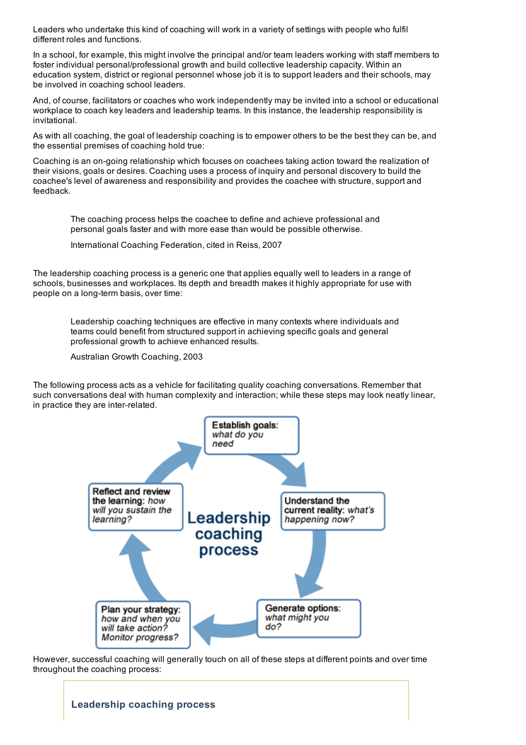Leaders who undertake this kind of coaching will work in a variety of settings with people who fulfil different roles and functions.

In a school, for example, this might involve the principal and/or team leaders working with staff members to foster individual personal/professional growth and build collective leadership capacity. Within an education system, district or regional personnel whose job it is to support leaders and their schools, may be involved in coaching school leaders.

And, of course, facilitators or coaches who work independently may be invited into a school or educational workplace to coach key leaders and leadership teams. In this instance, the leadership responsibility is invitational.

As with all coaching, the goal of leadership coaching is to empower others to be the best they can be, and the essential premises of coaching hold true:

Coaching is an on-going relationship which focuses on coachees taking action toward the realization of their visions, goals or desires. Coaching uses a process of inquiry and personal discovery to build the coachee's level of awareness and responsibility and provides the coachee with structure, support and feedback.

The coaching process helps the coachee to define and achieve professional and personal goals faster and with more ease than would be possible otherwise.

International Coaching Federation, cited in Reiss, 2007

The leadership coaching process is a generic one that applies equally well to leaders in a range of schools, businesses and workplaces. Its depth and breadth makes it highly appropriate for use with people on a long-term basis, over time:

Leadership coaching techniques are effective in many contexts where individuals and teams could benefit from structured support in achieving specific goals and general professional growth to achieve enhanced results.

Australian Growth Coaching, 2003

The following process acts as a vehicle for facilitating quality coaching conversations. Remember that such conversations deal with human complexity and interaction; while these steps may look neatly linear, in practice they are inter-related.



However, successful coaching will generally touch on all of these steps at different points and over time throughout the coaching process:

**Leadership coaching process**